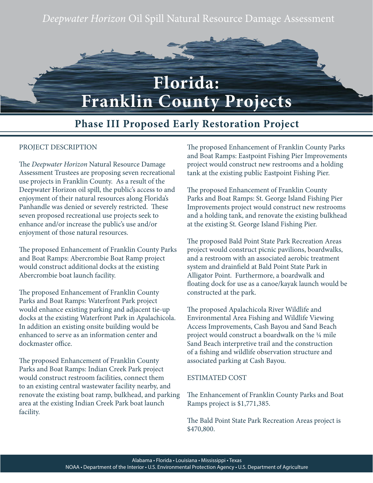*Deepwater Horizon* Oil Spill Natural Resource Damage Assessment



# **Florida: Franklin County Projects**

# **Phase III Proposed Early Restoration Project**

### PROJECT DESCRIPTION

The *Deepwater Horizon* Natural Resource Damage Assessment Trustees are proposing seven recreational use projects in Franklin County. As a result of the Deepwater Horizon oil spill, the public's access to and enjoyment of their natural resources along Florida's Panhandle was denied or severely restricted. These seven proposed recreational use projects seek to enhance and/or increase the public's use and/or enjoyment of those natural resources.

The proposed Enhancement of Franklin County Parks and Boat Ramps: Abercrombie Boat Ramp project would construct additional docks at the existing Abercrombie boat launch facility.

The proposed Enhancement of Franklin County Parks and Boat Ramps: Waterfront Park project would enhance existing parking and adjacent tie-up docks at the existing Waterfront Park in Apalachicola. In addition an existing onsite building would be enhanced to serve as an information center and dockmaster office.

The proposed Enhancement of Franklin County Parks and Boat Ramps: Indian Creek Park project would construct restroom facilities, connect them to an existing central wastewater facility nearby, and renovate the existing boat ramp, bulkhead, and parking area at the existing Indian Creek Park boat launch facility.

The proposed Enhancement of Franklin County Parks and Boat Ramps: Eastpoint Fishing Pier Improvements project would construct new restrooms and a holding tank at the existing public Eastpoint Fishing Pier.

The proposed Enhancement of Franklin County Parks and Boat Ramps: St. George Island Fishing Pier Improvements project would construct new restrooms and a holding tank, and renovate the existing bulkhead at the existing St. George Island Fishing Pier.

The proposed Bald Point State Park Recreation Areas project would construct picnic pavilions, boardwalks, and a restroom with an associated aerobic treatment system and drainfield at Bald Point State Park in Alligator Point. Furthermore, a boardwalk and floating dock for use as a canoe/kayak launch would be constructed at the park.

The proposed Apalachicola River Wildlife and Environmental Area Fishing and Wildlife Viewing Access Improvements, Cash Bayou and Sand Beach project would construct a boardwalk on the ¼ mile Sand Beach interpretive trail and the construction of a fishing and wildlife observation structure and associated parking at Cash Bayou.

#### ESTIMATED COST

The Enhancement of Franklin County Parks and Boat Ramps project is \$1,771,385.

The Bald Point State Park Recreation Areas project is \$470,800.